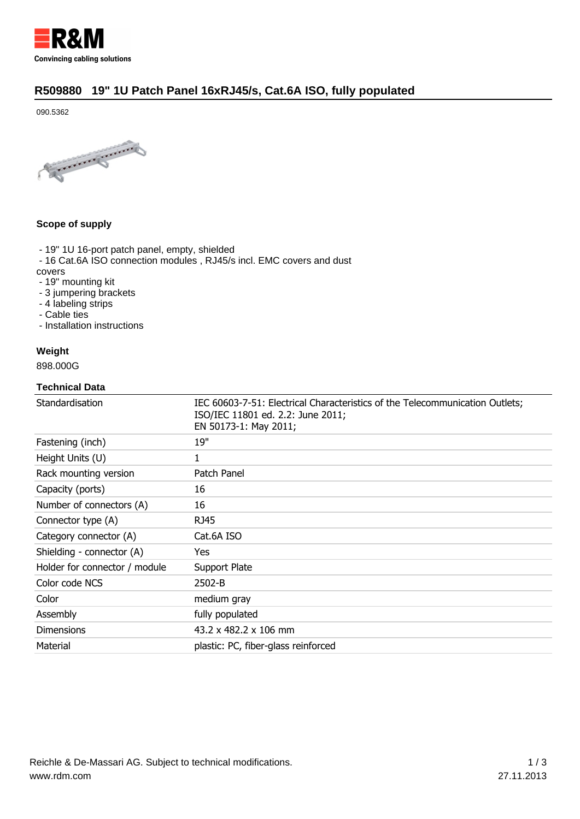

# **[R509880 19" 1U Patch Panel 16xRJ45/s, Cat.6A ISO, fully populated](http://universe.rdm.com/en/ProductDetail.aspx?prdtName=R509880)**

090.5362



#### **Scope of supply**

- 19" 1U 16-port patch panel, empty, shielded
- 16 Cat.6A ISO connection modules , RJ45/s incl. EMC covers and dust

covers

- 19" mounting kit
- 3 jumpering brackets
- 4 labeling strips
- Cable ties
- Installation instructions

#### **Weight**

898.000G

#### **Technical Data**

| Standardisation               | IEC 60603-7-51: Electrical Characteristics of the Telecommunication Outlets;<br>ISO/IEC 11801 ed. 2.2: June 2011;<br>EN 50173-1: May 2011; |
|-------------------------------|--------------------------------------------------------------------------------------------------------------------------------------------|
| Fastening (inch)              | 19"                                                                                                                                        |
| Height Units (U)              | 1                                                                                                                                          |
| Rack mounting version         | Patch Panel                                                                                                                                |
| Capacity (ports)              | 16                                                                                                                                         |
| Number of connectors (A)      | 16                                                                                                                                         |
| Connector type (A)            | RJ45                                                                                                                                       |
| Category connector (A)        | Cat.6A ISO                                                                                                                                 |
| Shielding - connector (A)     | Yes                                                                                                                                        |
| Holder for connector / module | Support Plate                                                                                                                              |
| Color code NCS                | $2502 - B$                                                                                                                                 |
| Color                         | medium gray                                                                                                                                |
| Assembly                      | fully populated                                                                                                                            |
| <b>Dimensions</b>             | $43.2 \times 482.2 \times 106$ mm                                                                                                          |
| Material                      | plastic: PC, fiber-glass reinforced                                                                                                        |
|                               |                                                                                                                                            |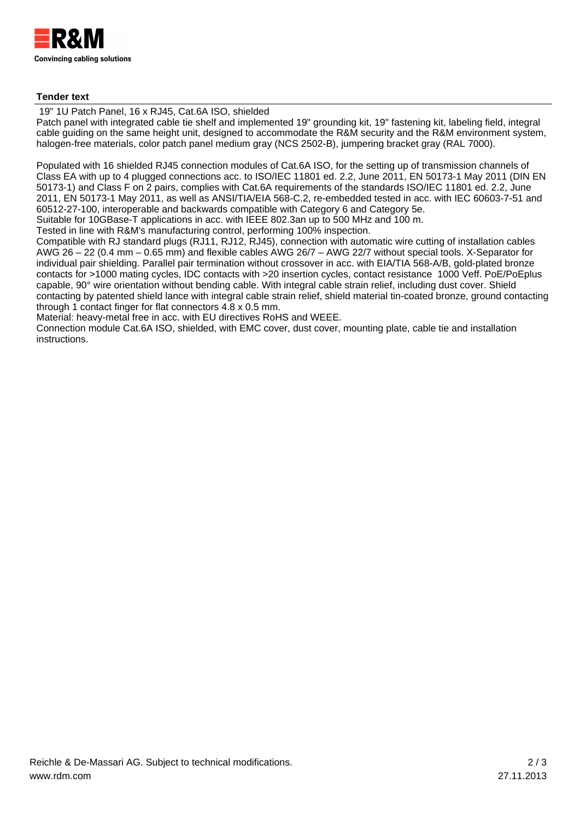

### **Tender text**

19" 1U Patch Panel, 16 x RJ45, Cat.6A ISO, shielded

Patch panel with integrated cable tie shelf and implemented 19" grounding kit, 19" fastening kit, labeling field, integral cable guiding on the same height unit, designed to accommodate the R&M security and the R&M environment system, halogen-free materials, color patch panel medium gray (NCS 2502-B), jumpering bracket gray (RAL 7000).

Populated with 16 shielded RJ45 connection modules of Cat.6A ISO, for the setting up of transmission channels of Class EA with up to 4 plugged connections acc. to ISO/IEC 11801 ed. 2.2, June 2011, EN 50173-1 May 2011 (DIN EN 50173-1) and Class F on 2 pairs, complies with Cat.6A requirements of the standards ISO/IEC 11801 ed. 2.2, June 2011, EN 50173-1 May 2011, as well as ANSI/TIA/EIA 568-C.2, re-embedded tested in acc. with IEC 60603-7-51 and 60512-27-100, interoperable and backwards compatible with Category 6 and Category 5e.

Suitable for 10GBase-T applications in acc. with IEEE 802.3an up to 500 MHz and 100 m.

Tested in line with R&M's manufacturing control, performing 100% inspection.

Compatible with RJ standard plugs (RJ11, RJ12, RJ45), connection with automatic wire cutting of installation cables AWG 26 – 22 (0.4 mm – 0.65 mm) and flexible cables AWG 26/7 – AWG 22/7 without special tools. X-Separator for individual pair shielding. Parallel pair termination without crossover in acc. with EIA/TIA 568-A/B, gold-plated bronze contacts for >1000 mating cycles, IDC contacts with >20 insertion cycles, contact resistance 1000 Veff. PoE/PoEplus capable, 90° wire orientation without bending cable. With integral cable strain relief, including dust cover. Shield contacting by patented shield lance with integral cable strain relief, shield material tin-coated bronze, ground contacting through 1 contact finger for flat connectors 4.8 x 0.5 mm.

Material: heavy-metal free in acc. with EU directives RoHS and WEEE.

Connection module Cat.6A ISO, shielded, with EMC cover, dust cover, mounting plate, cable tie and installation **instructions**